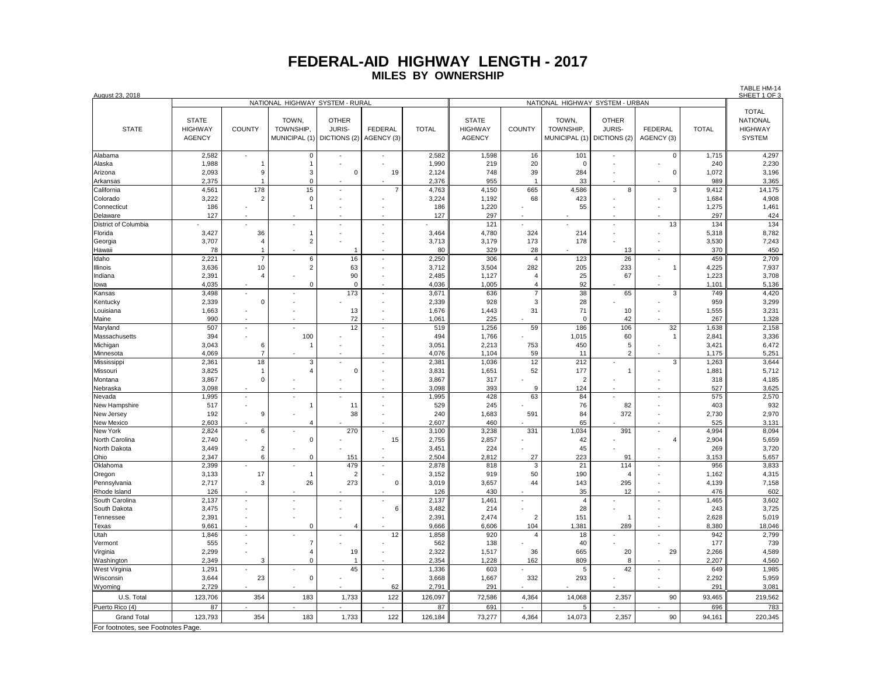| August 23, 2018                   |                                                                    |                              |                                     |                                               |                       |                |                                                 |                          |                                     |                                               |                              |                | IABLE FIN-14<br>SHEET 1 OF 3                                       |
|-----------------------------------|--------------------------------------------------------------------|------------------------------|-------------------------------------|-----------------------------------------------|-----------------------|----------------|-------------------------------------------------|--------------------------|-------------------------------------|-----------------------------------------------|------------------------------|----------------|--------------------------------------------------------------------|
|                                   | NATIONAL HIGHWAY SYSTEM - RURAL<br>NATIONAL HIGHWAY SYSTEM - URBAN |                              |                                     |                                               |                       |                |                                                 |                          |                                     |                                               |                              |                |                                                                    |
| <b>STATE</b>                      | <b>STATE</b><br><b>HIGHWAY</b><br><b>AGENCY</b>                    | <b>COUNTY</b>                | TOWN,<br>TOWNSHIP,<br>MUNICIPAL (1) | <b>OTHER</b><br><b>JURIS-</b><br>DICTIONS (2) | FEDERAL<br>AGENCY (3) | <b>TOTAL</b>   | <b>STATE</b><br><b>HIGHWAY</b><br><b>AGENCY</b> | COUNTY                   | TOWN,<br>TOWNSHIP,<br>MUNICIPAL (1) | <b>OTHER</b><br><b>JURIS-</b><br>DICTIONS (2) | <b>FEDERAL</b><br>AGENCY (3) | <b>TOTAL</b>   | <b>TOTAL</b><br><b>NATIONAL</b><br><b>HIGHWAY</b><br><b>SYSTEM</b> |
| Alabama                           | 2,582                                                              |                              | 0                                   |                                               |                       | 2,582          | 1,598                                           | 16                       | 101                                 |                                               | 0                            | 1,715          | 4,297                                                              |
| Alaska                            | 1,988                                                              | $\mathbf{1}$                 | -1                                  |                                               |                       | 1,990          | 219                                             | 20                       | $\mathbf 0$                         |                                               |                              | 240            | 2,230                                                              |
| Arizona                           | 2,093                                                              | 9                            | 3                                   | $\pmb{0}$                                     | 19                    | 2,124          | 748                                             | 39                       | 284                                 | ÷.                                            | 0                            | 1,072          | 3,196                                                              |
| Arkansas                          | 2,375                                                              | $\overline{1}$               | $\mathbf 0$                         |                                               |                       | 2,376          | 955                                             | $\overline{1}$           | 33                                  |                                               |                              | 989            | 3,365                                                              |
| California                        | 4,561                                                              | 178                          | 15                                  |                                               | $\overline{7}$        | 4,763          | 4,150                                           | 665                      | 4,586                               | 8                                             | 3                            | 9,412          | 14,175                                                             |
| Colorado                          | 3,222                                                              | $\overline{2}$               | 0                                   |                                               |                       | 3,224          | 1,192                                           | 68                       | 423                                 |                                               |                              | 1,684          | 4,908                                                              |
| Connecticut<br>Delaware           | 186<br>127                                                         | ٠                            |                                     |                                               |                       | 186<br>127     | 1,220<br>297                                    |                          | 55                                  |                                               |                              | 1,275<br>297   | 1,461<br>424                                                       |
| <b>District of Columbia</b>       |                                                                    |                              |                                     |                                               | ÷,                    |                | 121                                             |                          |                                     | ÷,                                            | 13                           | 134            | 134                                                                |
| Florida                           | 3,427                                                              | 36                           | 1                                   |                                               |                       | 3,464          | 4,780                                           | 324                      | 214                                 |                                               |                              | 5,318          | 8,782                                                              |
| Georgia                           | 3,707                                                              | 4                            | $\overline{2}$                      |                                               |                       | 3,713          | 3,179                                           | 173                      | 178                                 |                                               |                              | 3,530          | 7,243                                                              |
| Hawaii                            | 78                                                                 | $\mathbf{1}$                 |                                     | -1                                            |                       | 80             | 329                                             | 28                       |                                     | 13                                            |                              | 370            | 450                                                                |
| Idaho                             | 2,221                                                              | $\overline{7}$               | 6                                   | 16                                            | ÷,                    | 2,250          | 306                                             | $\overline{4}$           | 123                                 | 26                                            |                              | 459            | 2,709                                                              |
| Illinois                          | 3,636                                                              | 10                           | $\overline{2}$                      | 63                                            |                       | 3,712          | 3,504                                           | 282                      | 205                                 | 233                                           | $\mathbf{1}$                 | 4,225          | 7,937                                                              |
| Indiana                           | 2,391                                                              | $\overline{4}$               |                                     | 90                                            |                       | 2,485          | 1,127                                           | $\overline{4}$           | 25                                  | 67                                            |                              | 1,223          | 3,708                                                              |
| lowa                              | 4,035                                                              |                              | $\Omega$                            | $\pmb{0}$                                     | ÷                     | 4,036          | 1,005                                           | $\overline{4}$           | 92                                  |                                               |                              | 1,101          | 5,136                                                              |
| Kansas                            | 3,498                                                              | L.                           |                                     | 173                                           | ÷,                    | 3,671          | 636                                             | $\overline{7}$           | 38                                  | 65                                            | 3                            | 749            | 4,420                                                              |
| Kentucky                          | 2,339                                                              | $\Omega$                     |                                     |                                               |                       | 2,339          | 928                                             | 3                        | 28                                  |                                               |                              | 959            | 3,299                                                              |
| Louisiana                         | 1,663                                                              |                              |                                     | 13                                            | J.                    | 1,676          | 1,443                                           | 31                       | 71                                  | 10                                            |                              | 1,555          | 3,231                                                              |
| Maine                             | 990<br>507                                                         | ÷,                           |                                     | 72<br>12                                      |                       | 1,061<br>519   | 225<br>1,256                                    | 59                       | $\mathbf 0$<br>186                  | 42<br>106                                     | 32                           | 267            | 1,328                                                              |
| Maryland<br>Massachusetts         | 394                                                                |                              | 100                                 |                                               |                       | 494            | 1,766                                           |                          | 1,015                               | 60                                            | $\mathbf{1}$                 | 1,638<br>2,841 | 2,158<br>3,336                                                     |
| Michigan                          | 3,043                                                              | 6                            |                                     |                                               |                       | 3,051          | 2,213                                           | 753                      | 450                                 | 5                                             |                              | 3,421          | 6,472                                                              |
| Minnesota                         | 4,069                                                              | $\overline{7}$               |                                     |                                               |                       | 4,076          | 1,104                                           | 59                       | 11                                  | $\overline{2}$                                |                              | 1,175          | 5,251                                                              |
| Mississippi                       | 2,361                                                              | 18                           | 3                                   |                                               | ÷.                    | 2,381          | 1,036                                           | 12                       | 212                                 |                                               | 3                            | 1,263          | 3,644                                                              |
| Missouri                          | 3,825                                                              | $\overline{1}$               | 4                                   | $\mathbf 0$                                   |                       | 3,831          | 1,651                                           | 52                       | 177                                 | $\overline{1}$                                |                              | 1,881          | 5,712                                                              |
| Montana                           | 3,867                                                              | 0                            |                                     |                                               | Ĭ.                    | 3,867          | 317                                             |                          | $\overline{\phantom{a}}$            |                                               |                              | 318            | 4,185                                                              |
| Nebraska                          | 3,098                                                              |                              |                                     |                                               |                       | 3,098          | 393                                             | 9                        | 124                                 |                                               |                              | 527            | 3,625                                                              |
| Nevada                            | 1,995                                                              | $\overline{\phantom{a}}$     |                                     |                                               | ÷,                    | 1,995          | 428                                             | 63                       | 84                                  |                                               | $\overline{\phantom{a}}$     | 575            | 2,570                                                              |
| New Hampshire                     | 517                                                                |                              | 1                                   | 11                                            | $\ddot{\phantom{1}}$  | 529            | 245                                             |                          | 76                                  | 82                                            |                              | 403            | 932                                                                |
| New Jersey                        | 192                                                                | 9                            |                                     | 38                                            |                       | 240            | 1,683                                           | 591                      | 84                                  | 372                                           |                              | 2,730          | 2,970                                                              |
| <b>New Mexico</b>                 | 2,603                                                              | $\ddot{\phantom{1}}$         | $\overline{4}$                      |                                               | $\ddot{\phantom{1}}$  | 2,607          | 460                                             |                          | 65                                  |                                               | $\sim$                       | 525            | 3,131                                                              |
| New York                          | 2,824                                                              | 6                            | $\Omega$                            | 270                                           | ÷,                    | 3,100          | 3,238                                           | 331                      | 1,034                               | 391                                           | ÷,<br>$\overline{4}$         | 4,994          | 8,094                                                              |
| North Carolina<br>North Dakota    | 2,740<br>3,449                                                     |                              |                                     |                                               | 15                    | 2,755<br>3,451 | 2,857<br>224                                    |                          | 42<br>45                            |                                               |                              | 2,904<br>269   | 5,659<br>3,720                                                     |
| Ohio                              | 2,347                                                              | $\overline{\mathbf{c}}$<br>6 | $\mathbf 0$                         | 151                                           |                       | 2,504          | 2,812                                           | 27                       | 223                                 | 91                                            |                              | 3,153          | 5,657                                                              |
| Oklahoma                          | 2,399                                                              |                              |                                     | 479                                           |                       | 2,878          | 818                                             | 3                        | 21                                  | 114                                           |                              | 956            | 3,833                                                              |
| Oregon                            | 3,133                                                              | 17                           | $\mathbf{1}$                        | $\overline{c}$                                |                       | 3,152          | 919                                             | 50                       | 190                                 | $\overline{A}$                                |                              | 1,162          | 4,315                                                              |
| Pennsylvania                      | 2,717                                                              | 3                            | 26                                  | 273                                           | $\Omega$              | 3,019          | 3,657                                           | 44                       | 143                                 | 295                                           |                              | 4,139          | 7,158                                                              |
| Rhode Island                      | 126                                                                |                              |                                     |                                               |                       | 126            | 430                                             |                          | 35                                  | 12                                            |                              | 476            | 602                                                                |
| South Carolina                    | 2,137                                                              | ÷,                           |                                     |                                               |                       | 2,137          | 1,461                                           | $\overline{\phantom{a}}$ | $\overline{4}$                      |                                               | $\sim$                       | 1,465          | 3,602                                                              |
| South Dakota                      | 3,475                                                              |                              |                                     |                                               | 6                     | 3,482          | 214                                             |                          | 28                                  |                                               |                              | 243            | 3,725                                                              |
| Tennessee                         | 2,391                                                              |                              |                                     |                                               |                       | 2,391          | 2,474                                           | $\overline{2}$           | 151                                 | $\overline{1}$                                |                              | 2,628          | 5,019                                                              |
| Texas                             | 9,661                                                              |                              | $\Omega$                            | $\overline{4}$                                |                       | 9,666          | 6,606                                           | 104                      | 1,381                               | 289                                           |                              | 8,380          | 18,046                                                             |
| Utah                              | 1,846                                                              |                              |                                     |                                               | 12                    | 1,858          | 920                                             | 4                        | 18                                  |                                               |                              | 942            | 2,799                                                              |
| Vermont                           | 555                                                                |                              | $\overline{7}$                      |                                               |                       | 562            | 138                                             |                          | 40                                  |                                               |                              | 177            | 739                                                                |
| Virginia<br>Washington            | 2,299<br>2,349                                                     | $\blacksquare$<br>3          | $\overline{4}$<br>$\Omega$          | 19<br>$\overline{1}$                          |                       | 2,322<br>2,354 | 1,517<br>1,228                                  | 36<br>162                | 665<br>809                          | 20<br>8                                       | 29                           | 2,266<br>2,207 | 4,589<br>4,560                                                     |
| West Virginia                     | 1,291                                                              |                              |                                     | 45                                            | ÷,                    | 1,336          | 603                                             |                          | 5                                   | 42                                            | $\overline{\phantom{a}}$     | 649            | 1,985                                                              |
| Wisconsin                         | 3,644                                                              | 23                           | $\Omega$                            |                                               |                       | 3,668          | 1,667                                           | 332                      | 293                                 |                                               | $\overline{\phantom{a}}$     | 2,292          | 5,959                                                              |
| Wyoming                           | 2.729                                                              |                              |                                     |                                               | 62                    | 2.791          | 291                                             |                          |                                     |                                               |                              | 291            | 3,081                                                              |
| U.S. Total                        | 123,706                                                            | 354                          | 183                                 | 1,733                                         | 122                   | 126,097        | 72,586                                          | 4,364                    | 14,068                              | 2,357                                         | 90                           | 93,465         | 219,562                                                            |
| Puerto Rico (4)                   | 87                                                                 | $\sim$                       | $\sim$                              | $\sim$                                        | $\sim$                | 87             | 691                                             | $\sim$                   | 5                                   | $\blacksquare$                                | $\sim$                       | 696            | 783                                                                |
| <b>Grand Total</b>                | 123,793                                                            | 354                          | 183                                 | 1,733                                         | 122                   | 126,184        | 73,277                                          | 4,364                    | 14,073                              | 2,357                                         | 90                           | 94,161         | 220,345                                                            |
| For footnotes, see Footnotes Page |                                                                    |                              |                                     |                                               |                       |                |                                                 |                          |                                     |                                               |                              |                |                                                                    |
|                                   |                                                                    |                              |                                     |                                               |                       |                |                                                 |                          |                                     |                                               |                              |                |                                                                    |

TABLE HM-14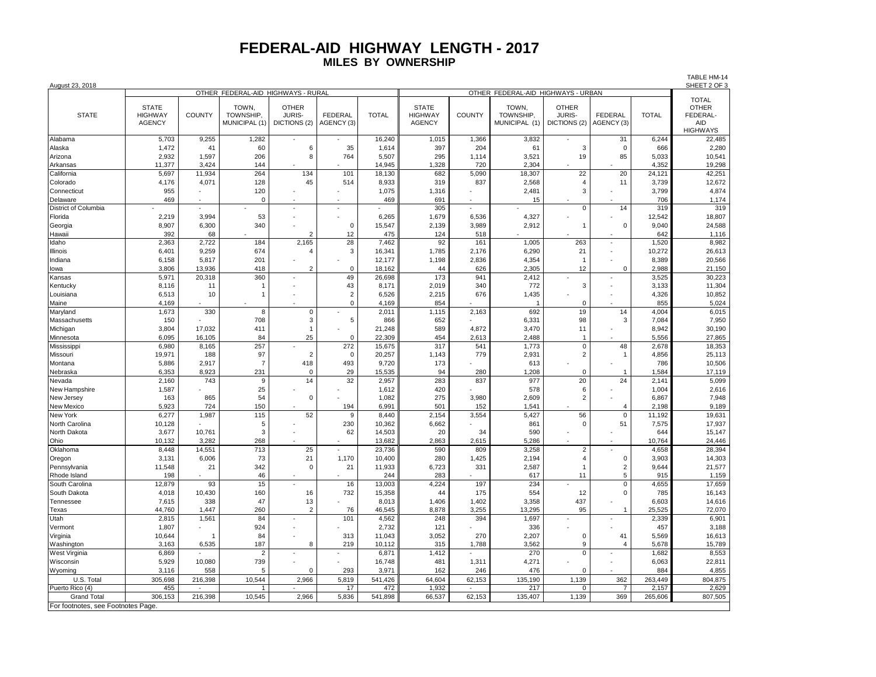TABLE HM-14

| August 23, 2018                   |                                                 |                | OTHER FEDERAL-AID HIGHWAYS - RURAL        |                                               |                              |              |                                                 | SHEET 2 OF 3  |                                                                           |                                        |                       |              |                                                                           |
|-----------------------------------|-------------------------------------------------|----------------|-------------------------------------------|-----------------------------------------------|------------------------------|--------------|-------------------------------------------------|---------------|---------------------------------------------------------------------------|----------------------------------------|-----------------------|--------------|---------------------------------------------------------------------------|
| <b>STATE</b>                      | <b>STATE</b><br><b>HIGHWAY</b><br><b>AGENCY</b> | <b>COUNTY</b>  | TOWN,<br><b>TOWNSHIP</b><br>MUNICIPAL (1) | <b>OTHER</b><br><b>JURIS-</b><br>DICTIONS (2) | <b>FEDERAL</b><br>AGENCY (3) | <b>TOTAL</b> | <b>STATE</b><br><b>HIGHWAY</b><br><b>AGENCY</b> | <b>COUNTY</b> | OTHER FEDERAL-AID HIGHWAYS - URBAN<br>TOWN,<br>TOWNSHIP.<br>MUNICIPAL (1) | <b>OTHER</b><br>JURIS-<br>DICTIONS (2) | FEDERAL<br>AGENCY (3) | <b>TOTAL</b> | <b>TOTAL</b><br><b>OTHER</b><br>FEDERAL-<br><b>AID</b><br><b>HIGHWAYS</b> |
| Alabama                           | 5,703                                           | 9,255          | 1,282                                     |                                               |                              | 16,240       | 1,015                                           | 1.366         | 3,832                                                                     |                                        | 31                    | 6.244        | 22,485                                                                    |
| Alaska                            | 1,472                                           | 41             | 60                                        | 6                                             | 35                           | 1,614        | 397                                             | 204           | 61                                                                        | 3                                      | 0                     | 666          | 2,280                                                                     |
| Arizona                           | 2,932                                           | 1,597          | 206                                       | 8                                             | 764                          | 5,507        | 295                                             | 1,114         | 3,521                                                                     | 19                                     | 85                    | 5,033        | 10,541                                                                    |
| Arkansas                          | 11,377                                          | 3,424          | 144                                       |                                               |                              | 14,945       | 1,328                                           | 720           | 2,304                                                                     |                                        |                       | 4,352        | 19,298                                                                    |
| California                        | 5,697                                           | 11,934         | 264                                       | 134                                           | 101                          | 18,130       | 682                                             | 5,090         | 18,307                                                                    | 22                                     | 20                    | 24,121       | 42,251                                                                    |
| Colorado                          | 4,176                                           | 4,071          | 128                                       | 45                                            | 514                          | 8,933        | 319                                             | 837           | 2,568                                                                     | $\overline{4}$                         | 11                    | 3,739        | 12,672                                                                    |
| Connecticut                       | 955                                             |                | 120                                       |                                               |                              | 1,075        | 1,316                                           |               | 2,481                                                                     | 3                                      |                       | 3,799        | 4,874                                                                     |
| Delaware                          | 469                                             |                | $\Omega$                                  |                                               |                              | 469          | 691                                             |               | 15                                                                        |                                        |                       | 706          | 1,174                                                                     |
| District of Columbia              |                                                 |                |                                           |                                               |                              |              | 305                                             |               |                                                                           | 0                                      | 14                    | 319          | 319                                                                       |
| Florida                           | 2,219                                           | 3,994          | 53                                        |                                               |                              | 6,265        | 1,679                                           | 6,536         | 4,327                                                                     |                                        |                       | 12,542       | 18,807                                                                    |
| Georgia                           | 8,907                                           | 6,300          | 340                                       |                                               | $\Omega$                     | 15,547       | 2,139                                           | 3,989         | 2,912                                                                     | $\overline{1}$                         | $\mathbf 0$           | 9,040        | 24,588                                                                    |
| Hawaii                            | 392                                             | 68             |                                           | 2                                             | 12                           | 475          | 124                                             | 518           |                                                                           |                                        |                       | 642          | 1,116                                                                     |
| Idaho                             | 2,363                                           | 2,722          | 184                                       | 2,165                                         | 28                           | 7,462        | 92                                              | 161           | 1,005                                                                     | 263                                    |                       | 1,520        | 8,982                                                                     |
| Illinois                          | 6,401                                           | 9,259          | 674                                       | $\overline{4}$                                | 3                            | 16,341       | 1,785                                           | 2,176         | 6,290                                                                     | 21                                     |                       | 10,272       | 26,613                                                                    |
| Indiana                           | 6,158                                           | 5,817          | 201                                       |                                               |                              | 12,177       | 1,198                                           | 2,836         | 4,354                                                                     | $\mathbf{1}$                           |                       | 8,389        | 20,566                                                                    |
| lowa                              | 3,806                                           | 13,936         | 418                                       | $\mathcal{P}$                                 | $\Omega$                     | 18,162       | 44                                              | 626           | 2,305                                                                     | 12                                     | $\Omega$              | 2,988        | 21,150                                                                    |
| Kansas                            | 5,971                                           | 20,318         | 360                                       |                                               | 49                           | 26,698       | 173                                             | 941           | 2,412                                                                     |                                        |                       | 3,525        | 30,223                                                                    |
| Kentucky                          | 8,116                                           | 11             |                                           |                                               | 43                           | 8,171        | 2,019                                           | 340           | 772                                                                       | 3                                      |                       | 3,133        | 11,304                                                                    |
| Louisiana                         | 6,513                                           | 10             | 1                                         |                                               | $\overline{2}$               | 6,526        | 2,215                                           | 676           | 1,435                                                                     |                                        |                       | 4,326        | 10,852                                                                    |
| Maine                             | 4,169                                           |                |                                           |                                               | $\Omega$                     | 4,169        | 854                                             |               |                                                                           | $\Omega$                               |                       | 855          | 5,024                                                                     |
| Maryland                          | 1,673                                           | 330            | 8                                         | $\mathbf 0$                                   |                              | 2,011        | 1,115                                           | 2,163         | 692                                                                       | 19                                     | 14                    | 4,004        | 6,015                                                                     |
| Massachusetts                     | 150                                             |                | 708                                       | 3                                             | 5                            | 866          | 652                                             |               | 6,331                                                                     | 98                                     | 3                     | 7,084        | 7,950                                                                     |
| Michigan                          | 3,804                                           | 17,032         | 411                                       | $\overline{1}$                                |                              | 21,248       | 589                                             | 4,872         | 3,470                                                                     | 11                                     |                       | 8,942        | 30,190                                                                    |
| Minnesota                         | 6,095                                           | 16,105         | 84                                        | 25                                            | $\Omega$                     | 22,309       | 454                                             | 2,613         | 2,488                                                                     | $\overline{1}$                         |                       | 5,556        | 27,865                                                                    |
| Mississippi                       | 6,980                                           | 8,165          | 257                                       |                                               | 272                          | 15,675       | 317                                             | 541           | 1,773                                                                     | $\pmb{0}$                              | 48                    | 2,678        | 18,353                                                                    |
| Missouri                          | 19,971                                          | 188            | 97                                        | $\overline{2}$                                | $\Omega$                     | 20,257       | 1,143                                           | 779           | 2,931                                                                     | $\overline{2}$                         | -1                    | 4,856        | 25,113                                                                    |
| Montana                           | 5,886                                           | 2,917          | $\overline{7}$                            | 418                                           | 493                          | 9,720        | 173                                             |               | 613                                                                       |                                        |                       | 786          | 10,506                                                                    |
| Nebraska                          | 6,353                                           | 8,923          | 231                                       | $\mathbf 0$                                   | 29                           | 15,535       | 94                                              | 280           | 1,208                                                                     | $\mathbf 0$                            | $\overline{1}$        | 1,584        | 17,119                                                                    |
| Nevada                            | 2,160                                           | 743            | 9                                         | 14                                            | 32                           | 2,957        | 283                                             | 837           | 977                                                                       | 20                                     | 24                    | 2,141        | 5,099                                                                     |
| New Hampshire                     | 1,587                                           |                | 25                                        |                                               |                              | 1,612        | 420                                             |               | 578                                                                       | 6                                      |                       | 1,004        | 2,616                                                                     |
| New Jersey                        | 163                                             | 865            | 54                                        | $\overline{0}$                                |                              | 1,082        | 275                                             | 3,980         | 2,609                                                                     | $\sqrt{2}$                             |                       | 6,867        | 7,948                                                                     |
| New Mexico                        | 5,923                                           | 724            | 150                                       |                                               | 194                          | 6,991        | 501                                             | 152           | 1,541                                                                     |                                        | $\overline{4}$        | 2,198        | 9,189                                                                     |
| New York                          | 6,277                                           | 1,987          | 115                                       | 52                                            | 9                            | 8.440        | 2,154                                           | 3,554         | 5,427                                                                     | 56                                     | $\overline{0}$        | 11,192       | 19,631                                                                    |
| North Carolina                    | 10,128                                          |                | 5                                         |                                               | 230                          | 10,362       | 6,662                                           |               | 861                                                                       | 0                                      | 51                    | 7,575        | 17,937                                                                    |
| North Dakota                      | 3,677                                           | 10,761         | 3                                         |                                               | 62                           | 14,503       | 20                                              | 34            | 590                                                                       |                                        |                       | 644          | 15,147                                                                    |
| Ohio                              | 10,132                                          | 3,282          | 268                                       |                                               |                              | 13,682       | 2,863                                           | 2,615         | 5,286                                                                     |                                        |                       | 10,764       | 24,446                                                                    |
| Oklahoma                          | 8,448                                           | 14,551         | 713                                       | 25                                            |                              | 23,736       | 590                                             | 809           | 3,258                                                                     | $\overline{2}$                         |                       | 4,658        | 28,394                                                                    |
| Oregon                            | 3,131                                           | 6,006          | 73                                        | 21                                            | 1,170                        | 10,400       | 280                                             | 1,425         | 2,194                                                                     | $\overline{4}$                         | $\mathsf 0$           | 3,903        | 14,303                                                                    |
| Pennsylvania                      | 11,548                                          | 21             | 342                                       | $\mathbf 0$                                   | 21                           | 11,933       | 6,723                                           | 331           | 2,587                                                                     | $\mathbf{1}$                           | $\sqrt{2}$            | 9,644        | 21,577                                                                    |
| Rhode Island                      | 198                                             |                | 46                                        |                                               |                              | 244          | 283                                             |               | 617                                                                       | 11                                     | 5                     | 915          | 1,159                                                                     |
| South Carolina                    | 12,879                                          | 93             | 15                                        |                                               | 16                           | 13,003       | 4,224                                           | 197           | 234                                                                       |                                        | $\mathsf 0$           | 4,655        | 17,659                                                                    |
| South Dakota                      | 4,018                                           | 10,430         | 160                                       | 16                                            | 732                          | 15,358       | 44                                              | 175           | 554                                                                       | 12                                     | $\mathbf 0$           | 785          | 16,143                                                                    |
| Tennessee                         | 7,615                                           | 338            | 47                                        | 13                                            |                              | 8,013        | 1,406                                           | 1,402         | 3,358                                                                     | 437                                    |                       | 6,603        | 14,616                                                                    |
| Texas                             | 44,760                                          | 1,447          | 260                                       | $\overline{2}$                                | 76                           | 46,545       | 8,878                                           | 3,255         | 13,295                                                                    | 95                                     | 1                     | 25,525       | 72,070                                                                    |
| Utah                              | 2,815                                           | 1,561          | 84                                        |                                               | 101                          | 4,562        | 248                                             | 394           | 1,697                                                                     |                                        |                       | 2,339        | 6,901                                                                     |
| Vermont                           | 1,807                                           |                | 924                                       |                                               |                              | 2,732        | 121                                             |               | 336                                                                       |                                        |                       | 457          | 3,188                                                                     |
| Virginia                          | 10,644                                          | $\overline{1}$ | 84                                        |                                               | 313                          | 11,043       | 3,052                                           | 270           | 2,207                                                                     | $\mathbf 0$                            | 41                    | 5,569        | 16,613                                                                    |
| Washington                        | 3,163                                           | 6,535          | 187                                       | 8                                             | 219                          | 10,112       | 315                                             | 1,788         | 3,562                                                                     | 9                                      | $\overline{4}$        | 5,678        | 15,789                                                                    |
| West Virginia                     | 6,869                                           |                | $\overline{2}$                            |                                               |                              | 6,871        | 1,412                                           |               | 270                                                                       | $\Omega$                               |                       | 1,682        | 8,553                                                                     |
| Wisconsin                         | 5,929                                           | 10,080         | 739                                       |                                               |                              | 16,748       | 481                                             | 1,311         | 4,271                                                                     |                                        |                       | 6,063        | 22,811                                                                    |
| Wyoming                           | 3,116                                           | 558            | 5                                         | $\overline{0}$                                | 293                          | 3,971        | 162                                             | 246           | 476                                                                       | $\Omega$                               |                       | 884          | 4,855                                                                     |
| U.S. Total                        | 305,698                                         | 216,398        | 10,544                                    | 2,966                                         | 5,819                        | 541,426      | 64,604                                          | 62,153        | 135,190                                                                   | 1,139                                  | 362                   | 263,449      | 804,875                                                                   |
| Puerto Rico (4)                   | 455                                             |                |                                           |                                               | 17                           | 472          | 1,932                                           |               | 217                                                                       | $\Omega$                               |                       | 2,157        | 2,629                                                                     |
| <b>Grand Total</b>                | 306,153                                         | 216,398        | 10,545                                    | 2,966                                         | 5,836                        | 541,898      | 66,537                                          | 62,153        | 135,407                                                                   | 1,139                                  | 369                   | 265,606      | 807,505                                                                   |
| For footnotes, see Footnotes Page |                                                 |                |                                           |                                               |                              |              |                                                 |               |                                                                           |                                        |                       |              |                                                                           |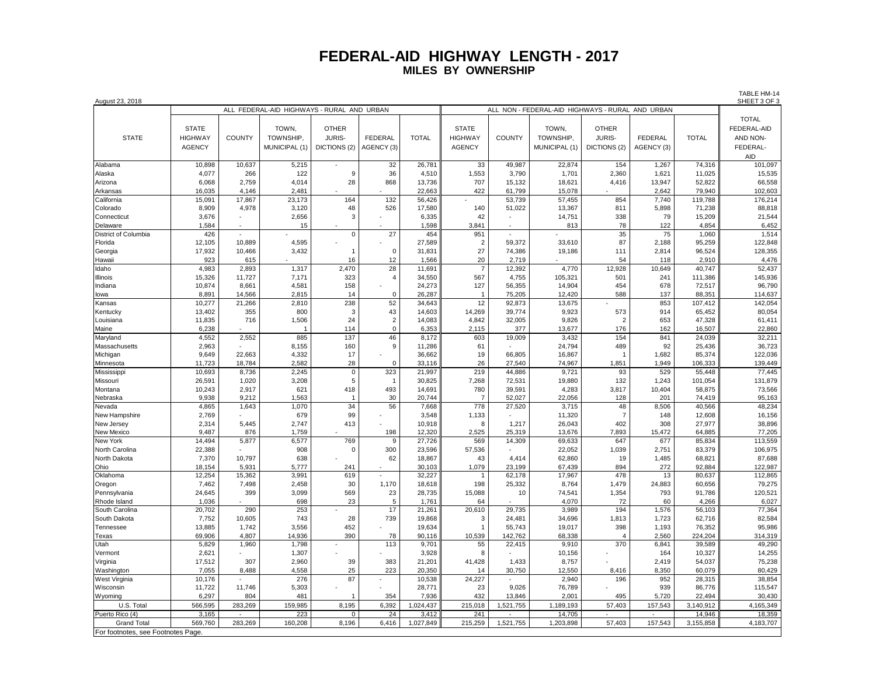| August 23, 2018                    |                                            |                 |                |                |                |                  |                |                                                     |                  |                |                 |                  | <b>IADLE FIVE 14</b><br>SHEET 3 OF 3 |  |
|------------------------------------|--------------------------------------------|-----------------|----------------|----------------|----------------|------------------|----------------|-----------------------------------------------------|------------------|----------------|-----------------|------------------|--------------------------------------|--|
|                                    | ALL FEDERAL-AID HIGHWAYS - RURAL AND URBAN |                 |                |                |                |                  |                | ALL NON - FEDERAL-AID HIGHWAYS - RURAL<br>AND URBAN |                  |                |                 |                  |                                      |  |
|                                    |                                            |                 |                |                |                |                  |                |                                                     |                  |                |                 |                  | <b>TOTAL</b>                         |  |
|                                    | <b>STATE</b>                               |                 | TOWN.          | <b>OTHER</b>   |                |                  | <b>STATE</b>   |                                                     | TOWN.            | <b>OTHER</b>   |                 |                  | FEDERAL-AID                          |  |
| <b>STATE</b>                       | <b>HIGHWAY</b>                             | <b>COUNTY</b>   | TOWNSHIP.      | <b>JURIS-</b>  | <b>FEDERAL</b> | <b>TOTAL</b>     | <b>HIGHWAY</b> | <b>COUNTY</b>                                       | TOWNSHIP.        | <b>JURIS-</b>  | <b>FEDERAL</b>  | <b>TOTAL</b>     | AND NON-                             |  |
|                                    | <b>AGENCY</b>                              |                 | MUNICIPAL (1)  | DICTIONS (2)   | AGENCY (3)     |                  | <b>AGENCY</b>  |                                                     | MUNICIPAL (1)    | DICTIONS (2)   | AGENCY (3)      |                  | FEDERAL-                             |  |
|                                    |                                            |                 |                |                |                |                  |                |                                                     |                  |                |                 |                  |                                      |  |
|                                    |                                            |                 |                |                |                |                  |                |                                                     |                  |                |                 |                  | <b>AID</b>                           |  |
| Alabama                            | 10,898                                     | 10,637          | 5,215          |                | 32             | 26,781           | 33             | 49,987                                              | 22,874           | 154            | 1,267           | 74,316           | 101,097                              |  |
| Alaska                             | 4,077                                      | 266             | 122            | 9              | 36             | 4,510            | 1,553          | 3,790                                               | 1,701            | 2,360          | 1,621           | 11,025           | 15,535                               |  |
| Arizona                            | 6.068<br>16,035                            | 2.759<br>4,146  | 4,014<br>2,481 | 28             | 868            | 13,736<br>22,663 | 707<br>422     | 15.132<br>61,799                                    | 18,621<br>15,078 | 4,416          | 13.947<br>2,642 | 52.822<br>79,940 | 66,558                               |  |
| Arkansas                           |                                            |                 |                | 164            | 132            |                  |                |                                                     |                  | 854            |                 |                  | 102,603                              |  |
| California                         | 15,091<br>8,909                            | 17,867<br>4,978 | 23,173         | 48             |                | 56,426           | 140            | 53,739                                              | 57,455           | 811            | 7,740           | 119,788          | 176,214<br>88,818                    |  |
| Colorado<br>Connecticut            | 3.676                                      |                 | 3,120<br>2,656 | 3              | 526            | 17,580<br>6,335  | 42             | 51,022                                              | 13,367<br>14,751 | 338            | 5,898<br>79     | 71,238<br>15,209 | 21,544                               |  |
|                                    |                                            |                 | 15             |                |                | 1,598            | 3,841          |                                                     | 813              | 78             | 122             | 4,854            | 6,452                                |  |
| Delaware<br>District of Columbia   | 1,584<br>426                               |                 |                | $\mathsf 0$    | 27             | 454              | 951            |                                                     |                  | 35             | 75              | 1,060            | 1,514                                |  |
| Florida                            | 12,105                                     | 10,889          | 4,595          |                |                | 27,589           | 2              | 59,372                                              | 33,610           | 87             | 2,188           | 95,259           | 122,848                              |  |
| Georgia                            | 17,932                                     | 10,466          | 3,432          | $\overline{1}$ | $\mathsf 0$    | 31,831           | 27             | 74,386                                              | 19,186           | 111            | 2,814           | 96,524           | 128,355                              |  |
| Hawaii                             | 923                                        | 615             |                | 16             | 12             | 1,566            | 20             | 2,719                                               |                  | 54             | 118             | 2,910            | 4,476                                |  |
| Idaho                              | 4,983                                      | 2,893           | 1,317          | 2,470          | 28             | 11,691           | $\overline{7}$ | 12,392                                              | 4,770            | 12,928         | 10,649          | 40,747           | 52,437                               |  |
| Illinois                           | 15,326                                     | 11,727          | 7,171          | 323            | $\overline{4}$ | 34,550           | 567            | 4,755                                               | 105,321          | 501            | 241             | 111,386          | 145,936                              |  |
| Indiana                            | 10,874                                     | 8,661           | 4,581          | 158            |                | 24,273           | 127            | 56,355                                              | 14,904           | 454            | 678             | 72,517           | 96,790                               |  |
| lowa                               | 8,891                                      | 14,566          | 2,815          | 14             | $\Omega$       | 26,287           | $\overline{1}$ | 75,205                                              | 12,420           | 588            | 137             | 88,351           | 114,637                              |  |
| Kansas                             | 10,277                                     | 21,266          | 2,810          | 238            | 52             | 34,643           | 12             | 92,873                                              | 13,675           |                | 853             | 107,412          | 142,054                              |  |
| Kentucky                           | 13,402                                     | 355             | 800            | 3              | 43             | 14,603           | 14,269         | 39,774                                              | 9,923            | 573            | 914             | 65,452           | 80,054                               |  |
| Louisiana                          | 11,835                                     | 716             | 1,506          | 24             | 2              | 14,083           | 4,842          | 32,005                                              | 9,826            | $\overline{2}$ | 653             | 47,328           | 61,411                               |  |
| Maine                              | 6,238                                      |                 | 1              | 114            | $\mathsf 0$    | 6,353            | 2,115          | 377                                                 | 13,677           | 176            | 162             | 16,507           | 22,860                               |  |
| Maryland                           | 4,552                                      | 2,552           | 885            | 137            | 46             | 8,172            | 603            | 19,009                                              | 3,432            | 154            | 841             | 24,039           | 32,211                               |  |
| Massachusetts                      | 2,963                                      |                 | 8,155          | 160            | 9              | 11,286           | 61             |                                                     | 24,794           | 489            | 92              | 25,436           | 36,723                               |  |
| Michigan                           | 9,649                                      | 22,663          | 4,332          | 17             |                | 36,662           | 19             | 66,805                                              | 16,867           | $\overline{1}$ | 1,682           | 85,374           | 122,036                              |  |
| Minnesota                          | 11,723                                     | 18,784          | 2,582          | 28             | $\Omega$       | 33,116           | 26             | 27,540                                              | 74,967           | 1,851          | 1,949           | 106,333          | 139,449                              |  |
| Mississippi                        | 10,693                                     | 8,736           | 2,245          | $\mathbf 0$    | 323            | 21,997           | 219            | 44,886                                              | 9,721            | 93             | 529             | 55,448           | 77,445                               |  |
| Missouri                           | 26,591                                     | 1,020           | 3,208          | 5              | $\overline{1}$ | 30,825           | 7,268          | 72,531                                              | 19,880           | 132            | 1,243           | 101,054          | 131,879                              |  |
| Montana                            | 10,243                                     | 2,917           | 621            | 418            | 493            | 14,691           | 780            | 39,591                                              | 4,283            | 3,817          | 10,404          | 58,875           | 73,566                               |  |
| Nebraska                           | 9,938                                      | 9,212           | 1,563          | $\overline{1}$ | 30             | 20,744           | $\overline{7}$ | 52,027                                              | 22,056           | 128            | 201             | 74,419           | 95,163                               |  |
| Nevada                             | 4,865                                      | 1,643           | 1,070          | 34             | 56             | 7,668            | 778            | 27,520                                              | 3,715            | 48             | 8,506           | 40,566           | 48,234                               |  |
| New Hampshire                      | 2,769                                      |                 | 679            | 99             |                | 3,548            | 1,133          |                                                     | 11,320           | $\overline{7}$ | 148             | 12,608           | 16,156                               |  |
| New Jersey                         | 2,314                                      | 5,445           | 2,747          | 413            |                | 10,918           | 8              | 1,217                                               | 26,043           | 402            | 308             | 27,977           | 38,896                               |  |
| New Mexico                         | 9,487                                      | 876             | 1,759          |                | 198            | 12,320           | 2,525          | 25,319                                              | 13,676           | 7,893          | 15,472          | 64,885           | 77,205                               |  |
| New York                           | 14,494                                     | 5,877           | 6,577          | 769            | $\mathsf g$    | 27,726           | 569            | 14,309                                              | 69,633           | 647            | 677             | 85,834           | 113,559                              |  |
| North Carolina                     | 22,388                                     |                 | 908            | $\mathbf 0$    | 300            | 23,596           | 57,536         |                                                     | 22,052           | 1,039          | 2,751           | 83,379           | 106,975                              |  |
| North Dakota                       | 7,370                                      | 10.797          | 638            |                | 62             | 18,867           | 43             | 4,414                                               | 62,860           | 19             | 1,485           | 68,821           | 87,688                               |  |
| Ohio                               | 18,154                                     | 5,931           | 5,777          | 241            |                | 30,103           | 1,079          | 23,199                                              | 67,439           | 894            | 272             | 92,884           | 122,987                              |  |
| Oklahoma                           | 12,254                                     | 15,362          | 3,991          | 619            | $\blacksquare$ | 32,227           | $\mathbf{1}$   | 62,178                                              | 17,967           | 478            | 13              | 80,637           | 112,865                              |  |
| Oregon                             | 7,462                                      | 7,498           | 2,458          | 30             | 1,170          | 18,618           | 198            | 25,332                                              | 8,764            | 1,479          | 24,883          | 60,656           | 79,275                               |  |
| Pennsylvania                       | 24,645                                     | 399             | 3,099          | 569            | 23             | 28,735           | 15,088         | 10                                                  | 74,541           | 1,354          | 793             | 91,786           | 120,521                              |  |
| Rhode Island                       | 1,036                                      |                 | 698            | 23             | 5              | 1,761            | 64             |                                                     | 4,070            | 72             | 60              | 4,266            | 6,027                                |  |
| South Carolina                     | 20,702                                     | 290             | 253            |                | 17             | 21,261           | 20,610         | 29,735                                              | 3,989            | 194            | 1,576           | 56,103           | 77,364                               |  |
| South Dakota                       | 7,752                                      | 10,605          | 743            | 28             | 739            | 19,868           | 3              | 24,481                                              | 34,696           | 1,813          | 1,723           | 62,716           | 82,584                               |  |
| Tennessee                          | 13,885                                     | 1.742           | 3,556          | 452            |                | 19,634           | $\overline{1}$ | 55.743                                              | 19,017           | 398            | 1,193           | 76,352           | 95,986                               |  |
| Texas                              | 69,906                                     | 4,807           | 14,936         | 390            | 78             | 90,116           | 10,539         | 142,762                                             | 68,338           | $\overline{4}$ | 2,560           | 224,204          | 314,319                              |  |
| Utah                               | 5,829                                      | 1,960           | 1,798          |                | 113            | 9,701            | 55             | 22,415                                              | 9,910            | 370            | 6,841           | 39,589           | 49,290                               |  |
| Vermont                            | 2,621                                      |                 | 1,307          |                |                | 3,928            | 8              |                                                     | 10,156           |                | 164             | 10,327           | 14,255                               |  |
| Virginia                           | 17,512                                     | 307             | 2,960          | 39             | 383            | 21,201           | 41,428         | 1,433                                               | 8,757            |                | 2.419           | 54,037           | 75,238                               |  |
| Washington                         | 7.055                                      | 8.488           | 4.558          | 25             | 223            | 20.350           | 14             | 30.750                                              | 12.550           | 8.416          | 8.350           | 60.079           | 80,429                               |  |
| West Virginia                      | 10,176                                     |                 | 276            | 87             |                | 10,538           | 24,227         |                                                     | 2,940            | 196            | 952             | 28,315           | 38,854                               |  |
| Wisconsin                          | 11,722                                     | 11,746          | 5,303          |                |                | 28,771           | 23             | 9,026                                               | 76,789           |                | 939             | 86,776           | 115,547                              |  |
| Wyoming                            | 6,297                                      | 804             | 481            |                | 354            | 7,936            | 432            | 13,846                                              | 2,001            | 495            | 5,720           | 22,494           | 30,430                               |  |
| U.S. Total                         | 566,595                                    | 283,269         | 159,985        | 8,195          | 6,392          | 1,024,437        | 215,018        | 1,521,755                                           | 1,189,193        | 57,403         | 157,543         | 3,140,912        | 4,165,349                            |  |
| Puerto Rico (4)                    | 3.165                                      |                 | 223            | $\Omega$       | 24             | 3.412            | 241            |                                                     | 14,705           |                |                 | 14.946           | 18,359                               |  |
| <b>Grand Total</b>                 | 569,760                                    | 283,269         | 160,208        | 8,196          | 6,416          | 1,027,849        | 215,259        | 1,521,755                                           | 1,203,898        | 57,403         | 157,543         | 3,155,858        | 4,183,707                            |  |
| For footnotes, see Footnotes Page. |                                            |                 |                |                |                |                  |                |                                                     |                  |                |                 |                  |                                      |  |

TABLE HM-14